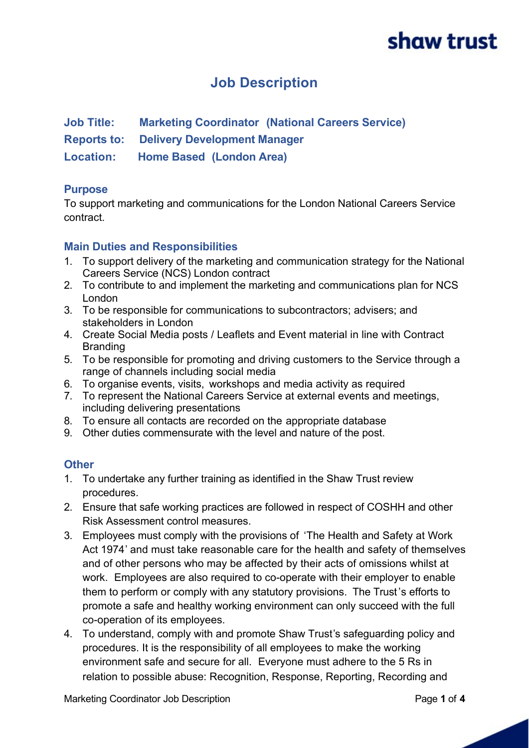## **Job Description**

**Job Title: Marketing Coordinator (National Careers Service)**

**Reports to: Delivery Development Manager**

**Location: Home Based (London Area)**

### **Purpose**

To support marketing and communications for the London National Careers Service contract.

### **Main Duties and Responsibilities**

- 1. To support delivery of the marketing and communication strategy for the National Careers Service (NCS) London contract
- 2. To contribute to and implement the marketing and communications plan for NCS London
- 3. To be responsible for communications to subcontractors; advisers; and stakeholders in London
- 4. Create Social Media posts / Leaflets and Event material in line with Contract **Branding**
- 5. To be responsible for promoting and driving customers to the Service through a range of channels including social media
- 6. To organise events, visits, workshops and media activity as required
- 7. To represent the National Careers Service at external events and meetings, including delivering presentations
- 8. To ensure all contacts are recorded on the appropriate database
- 9. Other duties commensurate with the level and nature of the post.

### **Other**

- 1. To undertake any further training as identified in the Shaw Trust review procedures.
- 2. Ensure that safe working practices are followed in respect of COSHH and other Risk Assessment control measures.
- 3. Employees must comply with the provisions of 'The Health and Safety at Work Act 1974' and must take reasonable care for the health and safety of themselves and of other persons who may be affected by their acts of omissions whilst at work. Employees are also required to co-operate with their employer to enable them to perform or comply with any statutory provisions. The Trust's efforts to promote a safe and healthy working environment can only succeed with the full co-operation of its employees.
- 4. To understand, comply with and promote Shaw Trust's safeguarding policy and procedures. It is the responsibility of all employees to make the working environment safe and secure for all. Everyone must adhere to the 5 Rs in relation to possible abuse: Recognition, Response, Reporting, Recording and

Marketing Coordinator Job Description **Page 1** of 4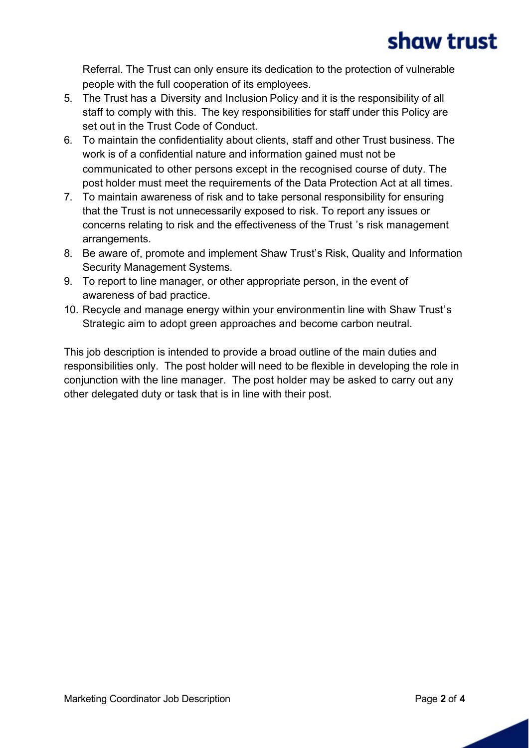Referral. The Trust can only ensure its dedication to the protection of vulnerable people with the full cooperation of its employees.

- 5. The Trust has a Diversity and Inclusion Policy and it is the responsibility of all staff to comply with this. The key responsibilities for staff under this Policy are set out in the Trust Code of Conduct.
- 6. To maintain the confidentiality about clients, staff and other Trust business. The work is of a confidential nature and information gained must not be communicated to other persons except in the recognised course of duty. The post holder must meet the requirements of the Data Protection Act at all times.
- 7. To maintain awareness of risk and to take personal responsibility for ensuring that the Trust is not unnecessarily exposed to risk. To report any issues or concerns relating to risk and the effectiveness of the Trust 's risk management arrangements.
- 8. Be aware of, promote and implement Shaw Trust's Risk, Quality and Information Security Management Systems.
- 9. To report to line manager, or other appropriate person, in the event of awareness of bad practice.
- 10. Recycle and manage energy within your environmentin line with Shaw Trust's Strategic aim to adopt green approaches and become carbon neutral.

This job description is intended to provide a broad outline of the main duties and responsibilities only. The post holder will need to be flexible in developing the role in conjunction with the line manager. The post holder may be asked to carry out any other delegated duty or task that is in line with their post.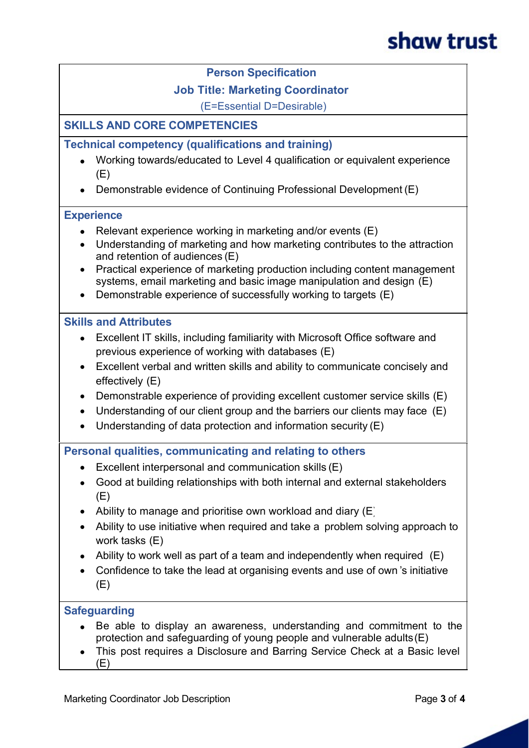#### **Person Specification**

#### **Job Title: Marketing Coordinator**

(E=Essential D=Desirable)

### **SKILLS AND CORE COMPETENCIES**

#### **Technical competency (qualifications and training)**

- · Working towards/educated to Level 4 qualification or equivalent experience (E)
- · Demonstrable evidence of Continuing Professional Development (E)

#### **Experience**

- Relevant experience working in marketing and/or events  $(E)$
- · Understanding of marketing and how marketing contributes to the attraction and retention of audiences (E)
- · Practical experience of marketing production including content management systems, email marketing and basic image manipulation and design (E)
- · Demonstrable experience of successfully working to targets (E)

#### **Skills and Attributes**

- · Excellent IT skills, including familiarity with Microsoft Office software and previous experience of working with databases (E)
- · Excellent verbal and written skills and ability to communicate concisely and effectively (E)
- · Demonstrable experience of providing excellent customer service skills (E)
- Understanding of our client group and the barriers our clients may face (E)
- · Understanding of data protection and information security (E)

**Personal qualities, communicating and relating to others**

- · Excellent interpersonal and communication skills (E)
- · Good at building relationships with both internal and external stakeholders (E)
- Ability to manage and prioritise own workload and diary  $(E)$
- · Ability to use initiative when required and take a problem solving approach to work tasks (E)
- Ability to work well as part of a team and independently when required (E)
- · Confidence to take the lead at organising events and use of own 's initiative (E)

#### **Safeguarding**

- Be able to display an awareness, understanding and commitment to the protection and safeguarding of young people and vulnerable adults (E)
- This post requires a Disclosure and Barring Service Check at a Basic level  $(E)$